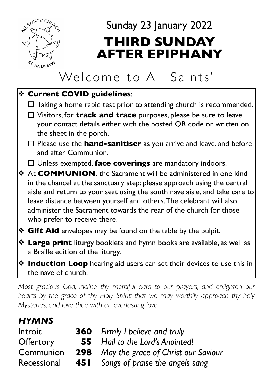

# Sunday 23 January 2022 **THIRD SUNDAY AFTER EPIPHANY**

# Welcome to All Saints'

#### ❖ **Current COVID guidelines**:

- $\Box$  Taking a home rapid test prior to attending church is recommended.
- □ Visitors, for **track and trace** purposes, please be sure to leave your contact details either with the posted QR code or written on the sheet in the porch.
- □ Please use the **hand-sanitiser** as you arrive and leave, and before and after Communion.
- ! Unless exempted, **face coverings** are mandatory indoors.

❖ At **COMMUNION**, the Sacrament will be administered in one kind in the chancel at the sanctuary step: please approach using the central aisle and return to your seat using the south nave aisle, and take care to leave distance between yourself and others. The celebrant will also administer the Sacrament towards the rear of the church for those who prefer to receive there.

- ❖ **Gift Aid** envelopes may be found on the table by the pulpit.
- ❖ **Large print** liturgy booklets and hymn books are available, as well as a Braille edition of the liturgy.
- ❖ **Induction Loop** hearing aid users can set their devices to use this in the nave of church.

*Most gracious God, incline thy merciful ears to our prayers, and enlighten our*  hearts by the grace of thy Holy Spirit; that we may worthily approach thy holy *Mysteries, and love thee with an everlasting love.*

### *HYMNS*

| Introit          | <b>360</b> Firmly I believe and truly          |  |
|------------------|------------------------------------------------|--|
| <b>Offertory</b> | <b>55</b> Hail to the Lord's Anointed!         |  |
| Communion        | <b>298</b> May the grace of Christ our Saviour |  |
| Recessional      | <b>451</b> Songs of praise the angels sang     |  |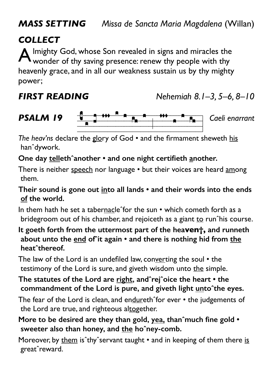*MASS SETTING Missa de Sancta Maria Magdalena* (Willan)

#### *COLLECT*

Imighty God, whose Son revealed in signs and miracles the wonder of thy saving presence: renew thy people with thy heavenly grace, and in all our weakness sustain us by thy mighty power;

## *FIRST READING Nehemiah 8.1–3, 5–6, 8–10*



**PSALM 19** *Caeli enarrant*<br> *The heav'ns* declare the glory of God • and the firmament sheweth his hanˆdywork.

#### **One day tellethˆanother • and one night certifieth another.**

There is neither speech nor language • but their voices are heard among them.

**Their sound is gone out into all lands • and their words into the ends of the world.** 

In them hath he set a tabernacle<sup>o</sup>for the sun • which cometh forth as a bridegroom out of his chamber, and rejoiceth as a giant to run<sup>o</sup>his course.

**It goeth forth from the uttermost part of the heaven†, and runneth about unto the end ofˆit again • and there is nothing hid from the heatˆthereof.** 

The law of the Lord is an undefiled law, converting the soul • the testimony of the Lord is sure, and giveth wisdom unto the simple.

**The statutes of the Lord are right, andˆrejˆoice the heart • the commandment of the Lord is pure, and giveth light untoˆthe eyes.** 

The fear of the Lord is clean, and endureth^for ever • the judgements of the Lord are true, and righteous altogether.

**More to be desired are they than gold, yea, thanˆmuch fine gold •**  sweeter also than honey, and the ho<sup>o</sup>ney-comb.

Moreover, by them is^thy^servant taught • and in keeping of them there is greatˆreward.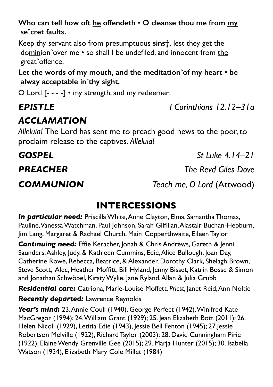**Who can tell how oft he offendeth • O cleanse thou me from my seˆcret faults.** 

Keep thy servant also from presumptuous **sins†,** lest they get the dominionˆover me • so shall I be undefiled, and innocent from the greatˆoffence.

**Let the words of my mouth, and the meditationˆof my heart • be alway acceptable inˆthy sight,** 

O Lord  $[- - -]$  • my strength, and my redeemer.

### *EPISTLE I Corinthians 12.12–31a*

### *ACCLAMATION*

*Alleluia!* The Lord has sent me to preach good news to the poor, to proclaim release to the captives. *Alleluia!* 

*COMMUNION Teach me, O Lord* (Attwood)

## **INTERCESSIONS**

*In particular need:* Priscilla White, Anne Clayton, Elma, Samantha Thomas, Pauline, Vanessa Watchman, Paul Johnson, Sarah Gilfillan, Alastair Buchan-Hepburn, Jim Lang, Margaret & Rachael Church, Mairi Copperthwaite, Eileen Taylor

**Continuing need:** Effie Keracher, Jonah & Chris Andrews, Gareth & Jenni Saunders, Ashley, Judy, & Kathleen Cummins, Edie, Alice Bullough, Joan Day, Catherine Rowe, Rebecca, Beatrice, & Alexander, Dorothy Clark, Shelagh Brown, Steve Scott, Alec, Heather Moffitt, Bill Hyland, Jenny Bisset, Katrin Bosse & Simon and Jonathan Schwöbel, Kirsty Wylie, Jane Ryland, Allan & Julia Grubb

*Residential care:* Catriona, Marie-Louise Moffett, *Priest*, Janet Reid, Ann Noltie *Recently departed:* Lawrence Reynolds

*Year's mind***:** 23. Annie Coull (1940), George Perfect (1942), Winifred Kate MacGregor (1994); 24. William Grant (1929); 25. Jean Elizabeth Bott (2011); 26. Helen Nicoll (1929), Letitia Edie (1943), Jessie Bell Fenton (1945); 27.Jessie Robertson Melville (1922), Richard Taylor (2003); 28. David Cunningham Pirie (1922), Elaine Wendy Grenville Gee (2015); 29. Marja Hunter (2015); 30. Isabella Watson (1934), Elizabeth Mary Cole Millet (1984)

*GOSPEL St Luke 4.14–21*

*PREACHER The Revd Giles Dove*